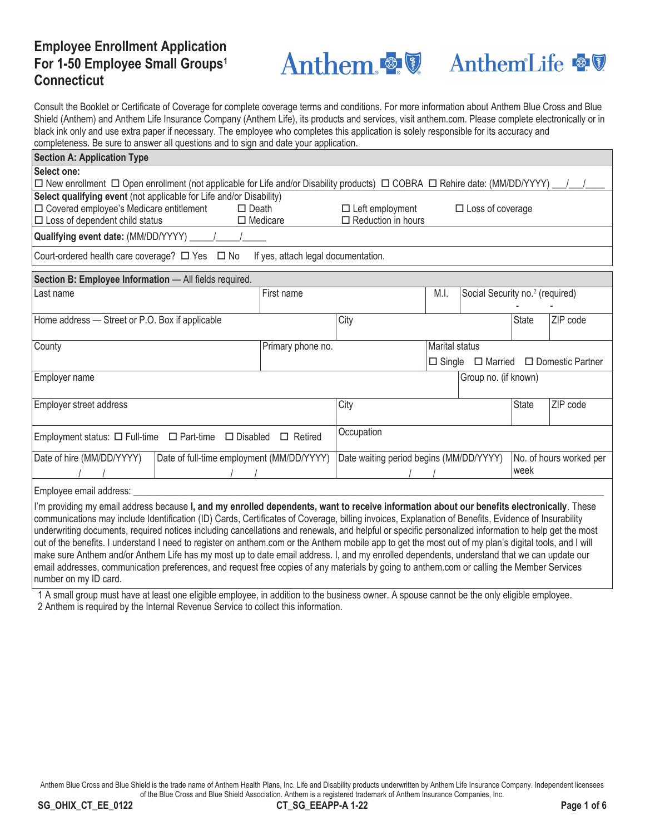# **Employee Enrollment Application For 1-50 Employee Small Groups1 Connecticut**

**Anthem & V** 



Consult the Booklet or Certificate of Coverage for complete coverage terms and conditions. For more information about Anthem Blue Cross and Blue Shield (Anthem) and Anthem Life Insurance Company (Anthem Life), its products and services, visit anthem.com. Please complete electronically or in black ink only and use extra paper if necessary. The employee who completes this application is solely responsible for its accuracy and completeness. Be sure to answer all questions and to sign and date your application.

| <b>Section A: Application Type</b>                                                                                                                     |  |                                           |                                         |               |                                             |              |                         |  |  |
|--------------------------------------------------------------------------------------------------------------------------------------------------------|--|-------------------------------------------|-----------------------------------------|---------------|---------------------------------------------|--------------|-------------------------|--|--|
| Select one:                                                                                                                                            |  |                                           |                                         |               |                                             |              |                         |  |  |
| $\Box$ New enrollment $\Box$ Open enrollment (not applicable for Life and/or Disability products) $\Box$ COBRA $\Box$ Rehire date: (MM/DD/YYYY)        |  |                                           |                                         |               |                                             |              |                         |  |  |
| Select qualifying event (not applicable for Life and/or Disability)                                                                                    |  |                                           |                                         |               |                                             |              |                         |  |  |
| $\Box$ Covered employee's Medicare entitlement                                                                                                         |  | $\Box$ Death                              | $\Box$ Left employment                  |               | □ Loss of coverage                          |              |                         |  |  |
| $\square$ Loss of dependent child status<br>$\Box$ Medicare<br>$\Box$ Reduction in hours                                                               |  |                                           |                                         |               |                                             |              |                         |  |  |
| Qualifying event date: (MM/DD/YYYY) ______/______/                                                                                                     |  |                                           |                                         |               |                                             |              |                         |  |  |
| Court-ordered health care coverage? □ Yes □ No                                                                                                         |  | If yes, attach legal documentation.       |                                         |               |                                             |              |                         |  |  |
| Section B: Employee Information - All fields required.                                                                                                 |  |                                           |                                         |               |                                             |              |                         |  |  |
| Last name                                                                                                                                              |  | First name                                |                                         | M.I.          | Social Security no. <sup>2</sup> (required) |              |                         |  |  |
|                                                                                                                                                        |  |                                           |                                         |               |                                             |              |                         |  |  |
| Home address - Street or P.O. Box if applicable                                                                                                        |  |                                           | City                                    |               |                                             | <b>State</b> | ZIP code                |  |  |
|                                                                                                                                                        |  |                                           |                                         |               |                                             |              |                         |  |  |
|                                                                                                                                                        |  |                                           |                                         |               |                                             |              |                         |  |  |
| County                                                                                                                                                 |  | Primary phone no.                         | Marital status                          |               |                                             |              |                         |  |  |
|                                                                                                                                                        |  |                                           |                                         | $\Box$ Single | □ Married                                   |              | □ Domestic Partner      |  |  |
| Employer name<br>Group no. (if known)                                                                                                                  |  |                                           |                                         |               |                                             |              |                         |  |  |
|                                                                                                                                                        |  |                                           |                                         |               |                                             |              |                         |  |  |
|                                                                                                                                                        |  |                                           | City                                    |               |                                             | <b>State</b> | ZIP code                |  |  |
| Employer street address                                                                                                                                |  |                                           |                                         |               |                                             |              |                         |  |  |
|                                                                                                                                                        |  |                                           |                                         |               |                                             |              |                         |  |  |
| Occupation<br>Employment status: $\Box$ Full-time $\Box$ Part-time $\Box$ Disabled<br>$\Box$ Retired                                                   |  |                                           |                                         |               |                                             |              |                         |  |  |
|                                                                                                                                                        |  |                                           |                                         |               |                                             |              |                         |  |  |
| Date of hire (MM/DD/YYYY)                                                                                                                              |  | Date of full-time employment (MM/DD/YYYY) | Date waiting period begins (MM/DD/YYYY) |               |                                             |              | No. of hours worked per |  |  |
|                                                                                                                                                        |  |                                           | week                                    |               |                                             |              |                         |  |  |
|                                                                                                                                                        |  |                                           |                                         |               |                                             |              |                         |  |  |
| Employee email address:                                                                                                                                |  |                                           |                                         |               |                                             |              |                         |  |  |
| I'm providing my email address because I, and my enrolled dependents, want to receive information about our benefits electronically. These             |  |                                           |                                         |               |                                             |              |                         |  |  |
| communications may include Identification (ID) Cards, Certificates of Coverage, billing invoices, Explanation of Benefits, Evidence of Insurability    |  |                                           |                                         |               |                                             |              |                         |  |  |
| underwriting documents, required notices including cancellations and renewals, and helpful or specific personalized information to help get the most   |  |                                           |                                         |               |                                             |              |                         |  |  |
| out of the benefits. I understand I need to register on anthem.com or the Anthem mobile app to get the most out of my plan's digital tools, and I will |  |                                           |                                         |               |                                             |              |                         |  |  |
| make sure Anthem and/or Anthem Life has my most up to date email address. I, and my enrolled dependents, understand that we can update our             |  |                                           |                                         |               |                                             |              |                         |  |  |
|                                                                                                                                                        |  |                                           |                                         |               |                                             |              |                         |  |  |
| email addresses, communication preferences, and request free copies of any materials by going to anthem.com or calling the Member Services             |  |                                           |                                         |               |                                             |              |                         |  |  |
| number on my ID card.                                                                                                                                  |  |                                           |                                         |               |                                             |              |                         |  |  |

1 A small group must have at least one eligible employee, in addition to the business owner. A spouse cannot be the only eligible employee. 2 Anthem is required by the Internal Revenue Service to collect this information.

Anthem Blue Cross and Blue Shield is the trade name of Anthem Health Plans, Inc. Life and Disability products underwritten by Anthem Life Insurance Company. Independent licensees of the Blue Cross and Blue Shield Association. Anthem is a registered trademark of Anthem Insurance Companies, Inc.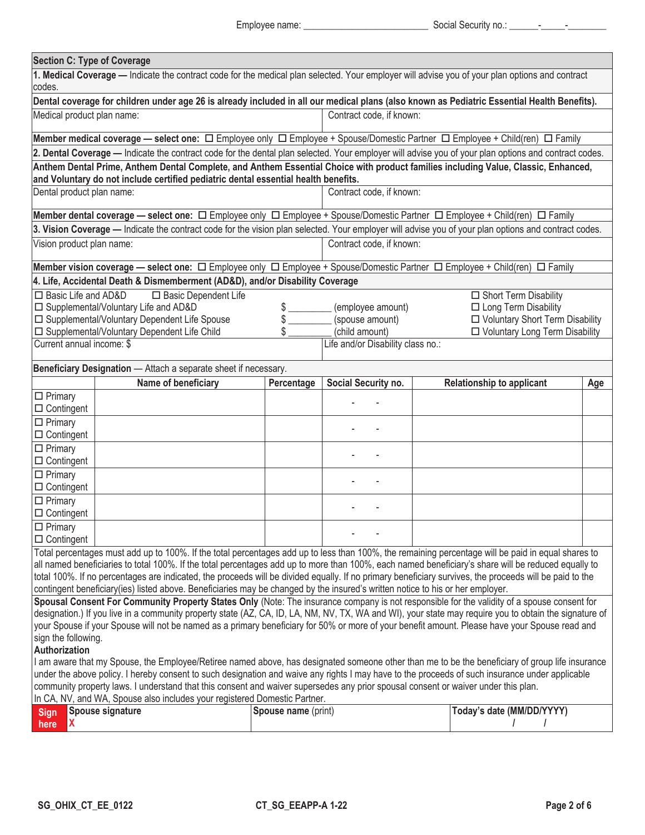| <b>Section C: Type of Coverage</b>                                                                                                                                                                                                                                                        |                                                                                                                                                      |                     |                                   |  |                                   |            |  |  |  |  |
|-------------------------------------------------------------------------------------------------------------------------------------------------------------------------------------------------------------------------------------------------------------------------------------------|------------------------------------------------------------------------------------------------------------------------------------------------------|---------------------|-----------------------------------|--|-----------------------------------|------------|--|--|--|--|
| 1. Medical Coverage - Indicate the contract code for the medical plan selected. Your employer will advise you of your plan options and contract                                                                                                                                           |                                                                                                                                                      |                     |                                   |  |                                   |            |  |  |  |  |
| codes.<br>Dental coverage for children under age 26 is already included in all our medical plans (also known as Pediatric Essential Health Benefits).                                                                                                                                     |                                                                                                                                                      |                     |                                   |  |                                   |            |  |  |  |  |
|                                                                                                                                                                                                                                                                                           | Medical product plan name:<br>Contract code, if known:                                                                                               |                     |                                   |  |                                   |            |  |  |  |  |
|                                                                                                                                                                                                                                                                                           |                                                                                                                                                      |                     |                                   |  |                                   |            |  |  |  |  |
| Member medical coverage — select one: □ Employee only □ Employee + Spouse/Domestic Partner □ Employee + Child(ren) □ Family                                                                                                                                                               |                                                                                                                                                      |                     |                                   |  |                                   |            |  |  |  |  |
| 2. Dental Coverage - Indicate the contract code for the dental plan selected. Your employer will advise you of your plan options and contract codes.                                                                                                                                      |                                                                                                                                                      |                     |                                   |  |                                   |            |  |  |  |  |
|                                                                                                                                                                                                                                                                                           | Anthem Dental Prime, Anthem Dental Complete, and Anthem Essential Choice with product families including Value, Classic, Enhanced,                   |                     |                                   |  |                                   |            |  |  |  |  |
| and Voluntary do not include certified pediatric dental essential health benefits.<br>Contract code, if known:                                                                                                                                                                            |                                                                                                                                                      |                     |                                   |  |                                   |            |  |  |  |  |
|                                                                                                                                                                                                                                                                                           | Dental product plan name:                                                                                                                            |                     |                                   |  |                                   |            |  |  |  |  |
|                                                                                                                                                                                                                                                                                           |                                                                                                                                                      |                     |                                   |  |                                   |            |  |  |  |  |
|                                                                                                                                                                                                                                                                                           | 3. Vision Coverage - Indicate the contract code for the vision plan selected. Your employer will advise you of your plan options and contract codes. |                     |                                   |  |                                   |            |  |  |  |  |
| Vision product plan name:                                                                                                                                                                                                                                                                 |                                                                                                                                                      |                     | Contract code, if known:          |  |                                   |            |  |  |  |  |
|                                                                                                                                                                                                                                                                                           |                                                                                                                                                      |                     |                                   |  |                                   |            |  |  |  |  |
|                                                                                                                                                                                                                                                                                           | 4. Life, Accidental Death & Dismemberment (AD&D), and/or Disability Coverage                                                                         |                     |                                   |  |                                   |            |  |  |  |  |
| □ Basic Life and AD&D                                                                                                                                                                                                                                                                     | □ Basic Dependent Life                                                                                                                               |                     |                                   |  | □ Short Term Disability           |            |  |  |  |  |
|                                                                                                                                                                                                                                                                                           | □ Supplemental/Voluntary Life and AD&D                                                                                                               | \$                  | (employee amount)                 |  | □ Long Term Disability            |            |  |  |  |  |
|                                                                                                                                                                                                                                                                                           | □ Supplemental/Voluntary Dependent Life Spouse                                                                                                       | \$                  | (spouse amount)                   |  | □ Voluntary Short Term Disability |            |  |  |  |  |
|                                                                                                                                                                                                                                                                                           | □ Supplemental/Voluntary Dependent Life Child                                                                                                        | \$                  | (child amount)                    |  | □ Voluntary Long Term Disability  |            |  |  |  |  |
| Current annual income: \$                                                                                                                                                                                                                                                                 |                                                                                                                                                      |                     | Life and/or Disability class no.: |  |                                   |            |  |  |  |  |
|                                                                                                                                                                                                                                                                                           | Beneficiary Designation - Attach a separate sheet if necessary.                                                                                      |                     |                                   |  |                                   |            |  |  |  |  |
|                                                                                                                                                                                                                                                                                           | Name of beneficiary                                                                                                                                  | Percentage          | Social Security no.               |  | <b>Relationship to applicant</b>  | <b>Age</b> |  |  |  |  |
| $\Box$ Primary                                                                                                                                                                                                                                                                            |                                                                                                                                                      |                     |                                   |  |                                   |            |  |  |  |  |
| $\Box$ Contingent                                                                                                                                                                                                                                                                         |                                                                                                                                                      |                     |                                   |  |                                   |            |  |  |  |  |
| $\Box$ Primary                                                                                                                                                                                                                                                                            |                                                                                                                                                      |                     |                                   |  |                                   |            |  |  |  |  |
| $\Box$ Contingent                                                                                                                                                                                                                                                                         |                                                                                                                                                      |                     |                                   |  |                                   |            |  |  |  |  |
| $\Box$ Primary                                                                                                                                                                                                                                                                            |                                                                                                                                                      |                     |                                   |  |                                   |            |  |  |  |  |
| $\Box$ Contingent                                                                                                                                                                                                                                                                         |                                                                                                                                                      |                     |                                   |  |                                   |            |  |  |  |  |
| $\Box$ Primary<br>$\Box$ Contingent                                                                                                                                                                                                                                                       |                                                                                                                                                      |                     |                                   |  |                                   |            |  |  |  |  |
| $\Box$ Primary                                                                                                                                                                                                                                                                            |                                                                                                                                                      |                     |                                   |  |                                   |            |  |  |  |  |
| $\Box$ Contingent                                                                                                                                                                                                                                                                         |                                                                                                                                                      |                     |                                   |  |                                   |            |  |  |  |  |
| $\square$ Primary                                                                                                                                                                                                                                                                         |                                                                                                                                                      |                     |                                   |  |                                   |            |  |  |  |  |
| $\Box$ Contingent                                                                                                                                                                                                                                                                         |                                                                                                                                                      |                     |                                   |  |                                   |            |  |  |  |  |
|                                                                                                                                                                                                                                                                                           | Total percentages must add up to 100%. If the total percentages add up to less than 100%, the remaining percentage will be paid in equal shares to   |                     |                                   |  |                                   |            |  |  |  |  |
|                                                                                                                                                                                                                                                                                           | all named beneficiaries to total 100%. If the total percentages add up to more than 100%, each named beneficiary's share will be reduced equally to  |                     |                                   |  |                                   |            |  |  |  |  |
| total 100%. If no percentages are indicated, the proceeds will be divided equally. If no primary beneficiary survives, the proceeds will be paid to the<br>contingent beneficiary(ies) listed above. Beneficiaries may be changed by the insured's written notice to his or her employer. |                                                                                                                                                      |                     |                                   |  |                                   |            |  |  |  |  |
| Spousal Consent For Community Property States Only (Note: The insurance company is not responsible for the validity of a spouse consent for                                                                                                                                               |                                                                                                                                                      |                     |                                   |  |                                   |            |  |  |  |  |
| designation.) If you live in a community property state (AZ, CA, ID, LA, NM, NV, TX, WA and WI), your state may require you to obtain the signature of                                                                                                                                    |                                                                                                                                                      |                     |                                   |  |                                   |            |  |  |  |  |
| your Spouse if your Spouse will not be named as a primary beneficiary for 50% or more of your benefit amount. Please have your Spouse read and                                                                                                                                            |                                                                                                                                                      |                     |                                   |  |                                   |            |  |  |  |  |
| sign the following.                                                                                                                                                                                                                                                                       |                                                                                                                                                      |                     |                                   |  |                                   |            |  |  |  |  |
| Authorization<br>I am aware that my Spouse, the Employee/Retiree named above, has designated someone other than me to be the beneficiary of group life insurance                                                                                                                          |                                                                                                                                                      |                     |                                   |  |                                   |            |  |  |  |  |
| under the above policy. I hereby consent to such designation and waive any rights I may have to the proceeds of such insurance under applicable                                                                                                                                           |                                                                                                                                                      |                     |                                   |  |                                   |            |  |  |  |  |
|                                                                                                                                                                                                                                                                                           | community property laws. I understand that this consent and waiver supersedes any prior spousal consent or waiver under this plan.                   |                     |                                   |  |                                   |            |  |  |  |  |
|                                                                                                                                                                                                                                                                                           | In CA, NV, and WA, Spouse also includes your registered Domestic Partner.                                                                            |                     |                                   |  |                                   |            |  |  |  |  |
| <b>Sign</b>                                                                                                                                                                                                                                                                               | Spouse signature                                                                                                                                     | Spouse name (print) |                                   |  | Today's date (MM/DD/YYYY)         |            |  |  |  |  |
| х<br>here                                                                                                                                                                                                                                                                                 |                                                                                                                                                      |                     |                                   |  |                                   |            |  |  |  |  |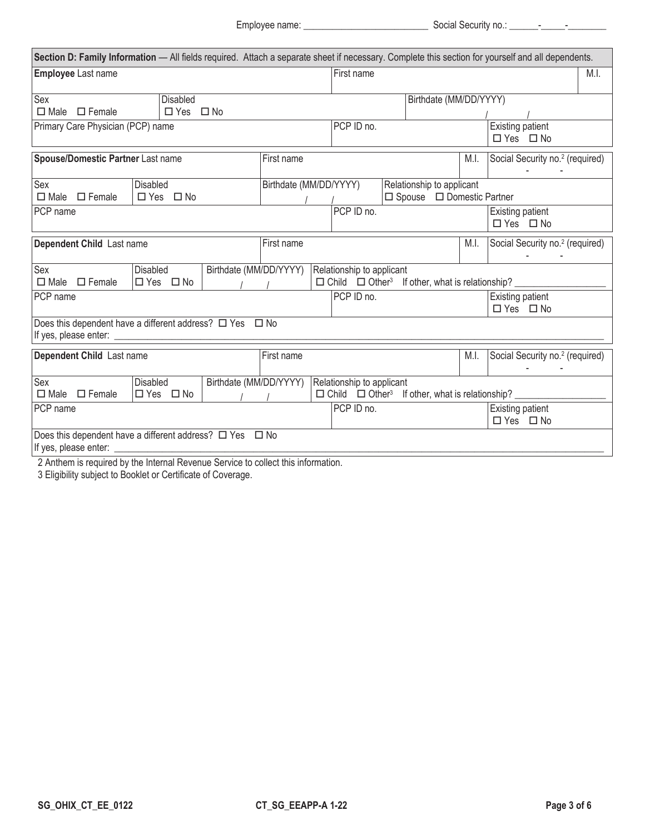Employee name: \_\_\_\_\_\_\_\_\_\_\_\_\_\_\_\_\_\_\_\_\_\_\_\_\_\_ Social Security no.: \_\_\_\_\_\_-\_\_\_\_\_-\_\_\_\_\_\_\_\_

| Section D: Family Information - All fields required. Attach a separate sheet if necessary. Complete this section for yourself and all dependents. |                      |            |                        |            |                                                     |                                                                        |  |                                       |                                             |                                             |                                             |  |
|---------------------------------------------------------------------------------------------------------------------------------------------------|----------------------|------------|------------------------|------------|-----------------------------------------------------|------------------------------------------------------------------------|--|---------------------------------------|---------------------------------------------|---------------------------------------------|---------------------------------------------|--|
| Employee Last name                                                                                                                                |                      |            |                        | First name |                                                     |                                                                        |  |                                       |                                             | M.I.                                        |                                             |  |
|                                                                                                                                                   |                      |            |                        |            |                                                     |                                                                        |  |                                       |                                             |                                             |                                             |  |
| Sex<br><b>Disabled</b><br>$\Box$ Male $\Box$ Female<br>$\Box$ Yes $\Box$ No                                                                       |                      |            |                        |            |                                                     |                                                                        |  | Birthdate (MM/DD/YYYY)                |                                             |                                             |                                             |  |
|                                                                                                                                                   |                      |            |                        |            |                                                     | PCP ID no.                                                             |  |                                       |                                             | Existing patient                            |                                             |  |
| Primary Care Physician (PCP) name                                                                                                                 |                      |            |                        |            |                                                     | □ Yes □ No                                                             |  |                                       |                                             |                                             |                                             |  |
| Spouse/Domestic Partner Last name                                                                                                                 |                      |            |                        | First name | M.I.                                                |                                                                        |  |                                       | Social Security no. <sup>2</sup> (required) |                                             |                                             |  |
| Sex                                                                                                                                               | <b>Disabled</b>      |            |                        |            | Birthdate (MM/DD/YYYY)<br>Relationship to applicant |                                                                        |  |                                       |                                             |                                             |                                             |  |
| $\Box$ Male<br>$\Box$ Female                                                                                                                      |                      | □ Yes □ No |                        |            |                                                     |                                                                        |  | $\Box$ Spouse $\Box$ Domestic Partner |                                             |                                             |                                             |  |
| PCP ID no.<br>PCP name<br>Existing patient<br>$\Box$ Yes $\Box$ No                                                                                |                      |            |                        |            |                                                     |                                                                        |  |                                       |                                             |                                             |                                             |  |
| Dependent Child Last name                                                                                                                         |                      |            |                        | First name | M.I.                                                |                                                                        |  |                                       |                                             | Social Security no. <sup>2</sup> (required) |                                             |  |
| Birthdate (MM/DD/YYYY)<br>Sex<br><b>Disabled</b><br>Relationship to applicant<br>$\Box$ Male $\Box$ Female<br>□ Yes □ No                          |                      |            |                        |            |                                                     |                                                                        |  |                                       |                                             |                                             |                                             |  |
| PCP name                                                                                                                                          |                      |            |                        |            |                                                     | PCP ID no.                                                             |  |                                       |                                             |                                             | Existing patient<br>$\Box$ Yes $\Box$ No    |  |
| Does this dependent have a different address? $\Box$ Yes $\Box$ No                                                                                |                      |            |                        |            |                                                     |                                                                        |  |                                       |                                             |                                             |                                             |  |
| Dependent Child Last name                                                                                                                         |                      |            |                        | First name |                                                     |                                                                        |  |                                       |                                             | M.I.                                        | Social Security no. <sup>2</sup> (required) |  |
| Sex                                                                                                                                               | Disabled             |            | Birthdate (MM/DD/YYYY) |            |                                                     | Relationship to applicant                                              |  |                                       |                                             |                                             |                                             |  |
| $\Box$ Male $\Box$ Female                                                                                                                         | $\Box$ Yes $\Box$ No |            |                        |            |                                                     | $\Box$ Child $\Box$ Other <sup>3</sup> If other, what is relationship? |  |                                       |                                             |                                             |                                             |  |
| PCP name                                                                                                                                          |                      |            |                        |            | PCP ID no.                                          |                                                                        |  |                                       |                                             | Existing patient<br>$\Box$ Yes $\Box$ No    |                                             |  |
| Does this dependent have a different address? $\Box$ Yes $\Box$ No<br>If yes, please enter:                                                       |                      |            |                        |            |                                                     |                                                                        |  |                                       |                                             |                                             |                                             |  |
| 2 Anthem is required by the Internal Revenue Service to collect this information.                                                                 |                      |            |                        |            |                                                     |                                                                        |  |                                       |                                             |                                             |                                             |  |

3 Eligibility subject to Booklet or Certificate of Coverage.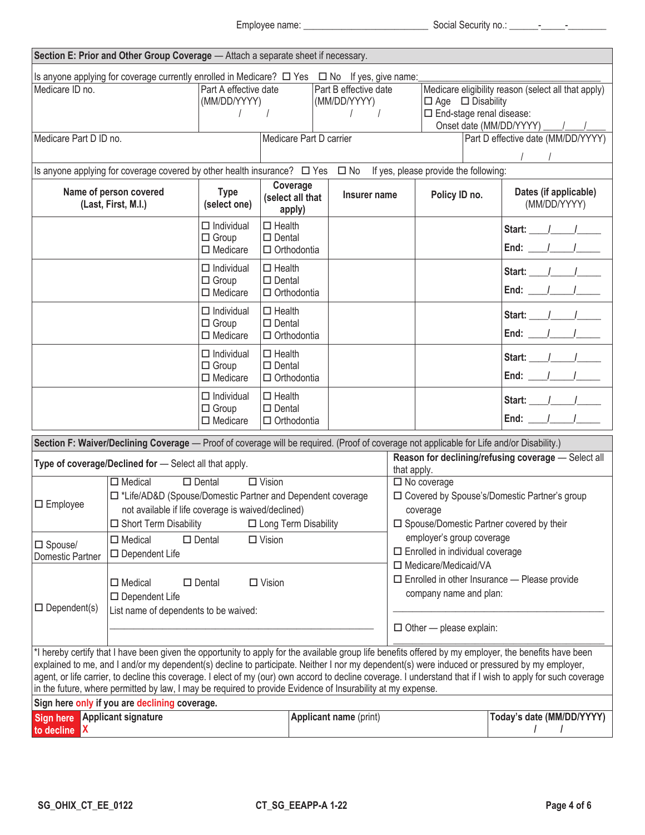Employee name: \_\_\_\_\_\_\_\_\_\_\_\_\_\_\_\_\_\_\_\_\_\_\_\_\_\_ Social Security no.: \_\_\_\_\_\_-\_\_\_\_\_-\_\_\_\_\_\_\_\_

|                                                                                                                                                 | Section E: Prior and Other Group Coverage - Attach a separate sheet if necessary.                                                                                                      |                                                      |                                                            |                                                                                               |                        |                                                                                                                                                   |                                    |  |                                                                                                                                                                                                                                                                                                                                                                                                                                                                         |  |  |
|-------------------------------------------------------------------------------------------------------------------------------------------------|----------------------------------------------------------------------------------------------------------------------------------------------------------------------------------------|------------------------------------------------------|------------------------------------------------------------|-----------------------------------------------------------------------------------------------|------------------------|---------------------------------------------------------------------------------------------------------------------------------------------------|------------------------------------|--|-------------------------------------------------------------------------------------------------------------------------------------------------------------------------------------------------------------------------------------------------------------------------------------------------------------------------------------------------------------------------------------------------------------------------------------------------------------------------|--|--|
| Is anyone applying for coverage currently enrolled in Medicare? $\Box$ Yes $\Box$ No If yes, give name:<br>Medicare ID no.                      |                                                                                                                                                                                        | Part A effective date<br>(MM/DD/YYYY)                |                                                            | Part B effective date<br>(MM/DD/YYYY)                                                         |                        | Medicare eligibility reason (select all that apply)<br>$\Box$ Age $\Box$ Disability<br>$\Box$ End-stage renal disease:<br>Onset date (MM/DD/YYYY) |                                    |  |                                                                                                                                                                                                                                                                                                                                                                                                                                                                         |  |  |
| Medicare Part D ID no.                                                                                                                          |                                                                                                                                                                                        |                                                      | Medicare Part D carrier                                    |                                                                                               |                        |                                                                                                                                                   | Part D effective date (MM/DD/YYYY) |  |                                                                                                                                                                                                                                                                                                                                                                                                                                                                         |  |  |
|                                                                                                                                                 | Is anyone applying for coverage covered by other health insurance? $\Box$ Yes $\Box$ No If yes, please provide the following:                                                          |                                                      |                                                            |                                                                                               |                        |                                                                                                                                                   |                                    |  |                                                                                                                                                                                                                                                                                                                                                                                                                                                                         |  |  |
| Name of person covered<br>(Last, First, M.I.)                                                                                                   |                                                                                                                                                                                        | <b>Type</b><br>(select one)                          | Coverage<br>(select all that<br>apply)                     |                                                                                               | Insurer name           |                                                                                                                                                   | Policy ID no.                      |  | Dates (if applicable)<br>(MM/DD/YYYY)                                                                                                                                                                                                                                                                                                                                                                                                                                   |  |  |
|                                                                                                                                                 |                                                                                                                                                                                        | $\Box$ Individual<br>$\Box$ Group<br>$\Box$ Medicare | $\square$ Health<br>$\square$ Dental<br>$\Box$ Orthodontia |                                                                                               |                        |                                                                                                                                                   |                                    |  | Start: $\frac{1}{\sqrt{2}}$<br>End: $1$                                                                                                                                                                                                                                                                                                                                                                                                                                 |  |  |
|                                                                                                                                                 |                                                                                                                                                                                        | $\Box$ Individual<br>$\Box$ Group<br>$\Box$ Medicare | $\Box$ Health<br>$\square$ Dental<br>$\Box$ Orthodontia    |                                                                                               |                        |                                                                                                                                                   |                                    |  | Start: $1 / 1$<br>End: $\frac{1}{\sqrt{2}}$                                                                                                                                                                                                                                                                                                                                                                                                                             |  |  |
|                                                                                                                                                 |                                                                                                                                                                                        | $\Box$ Individual<br>$\Box$ Group<br>$\Box$ Medicare | $\Box$ Health<br>$\square$ Dental<br>$\Box$ Orthodontia    |                                                                                               |                        |                                                                                                                                                   |                                    |  | Start: $\frac{1}{\sqrt{2}}$<br>End: $\frac{1}{\sqrt{2}}$                                                                                                                                                                                                                                                                                                                                                                                                                |  |  |
| $\Box$ Individual<br>$\Box$ Group<br>$\Box$ Medicare                                                                                            |                                                                                                                                                                                        |                                                      | $\Box$ Health<br>$\square$ Dental<br>$\Box$ Orthodontia    |                                                                                               |                        |                                                                                                                                                   |                                    |  | Start: $\frac{1}{\sqrt{1-\frac{1}{2}}}$<br>End: $1$                                                                                                                                                                                                                                                                                                                                                                                                                     |  |  |
|                                                                                                                                                 |                                                                                                                                                                                        | $\Box$ Individual<br>$\Box$ Group<br>$\Box$ Medicare | $\Box$ Health<br>$\square$ Dental<br>$\Box$ Orthodontia    |                                                                                               |                        |                                                                                                                                                   |                                    |  | Start: $\frac{1}{1}$<br>End: $\frac{1}{\sqrt{2}}$                                                                                                                                                                                                                                                                                                                                                                                                                       |  |  |
|                                                                                                                                                 | Section F: Waiver/Declining Coverage - Proof of coverage will be required. (Proof of coverage not applicable for Life and/or Disability.)                                              |                                                      |                                                            |                                                                                               |                        |                                                                                                                                                   |                                    |  |                                                                                                                                                                                                                                                                                                                                                                                                                                                                         |  |  |
|                                                                                                                                                 | Type of coverage/Declined for - Select all that apply.                                                                                                                                 |                                                      |                                                            |                                                                                               |                        | that apply.                                                                                                                                       |                                    |  | Reason for declining/refusing coverage - Select all                                                                                                                                                                                                                                                                                                                                                                                                                     |  |  |
| $\Box$ Employee                                                                                                                                 | $\Box$ Medical<br>□ *Life/AD&D (Spouse/Domestic Partner and Dependent coverage<br>not available if life coverage is waived/declined)<br>□ Short Term Disability □ Long Term Disability | $\Box$ Dental                                        | $\overline{\Box V}$ ision                                  |                                                                                               |                        |                                                                                                                                                   | $\Box$ No coverage<br>coverage     |  | □ Covered by Spouse's/Domestic Partner's group<br>□ Spouse/Domestic Partner covered by their                                                                                                                                                                                                                                                                                                                                                                            |  |  |
| $\Box$ Vision<br>$\square$ Medical<br>$\square$ Dental<br>$\square$ Spouse/<br>$\square$ Dependent Life<br>Domestic Partner                     |                                                                                                                                                                                        |                                                      |                                                            | employer's group coverage<br>$\Box$ Enrolled in individual coverage<br>□ Medicare/Medicaid/VA |                        |                                                                                                                                                   |                                    |  |                                                                                                                                                                                                                                                                                                                                                                                                                                                                         |  |  |
| $\Box$ Vision<br>$\Box$ Medical<br>$\square$ Dental<br>$\square$ Dependent Life<br>$\Box$ Dependent(s)<br>List name of dependents to be waived: |                                                                                                                                                                                        |                                                      |                                                            |                                                                                               |                        | $\Box$ Enrolled in other Insurance $-$ Please provide<br>company name and plan:<br>$\Box$ Other - please explain:                                 |                                    |  |                                                                                                                                                                                                                                                                                                                                                                                                                                                                         |  |  |
|                                                                                                                                                 | in the future, where permitted by law, I may be required to provide Evidence of Insurability at my expense.                                                                            |                                                      |                                                            |                                                                                               |                        |                                                                                                                                                   |                                    |  | *I hereby certify that I have been given the opportunity to apply for the available group life benefits offered by my employer, the benefits have been<br>explained to me, and I and/or my dependent(s) decline to participate. Neither I nor my dependent(s) were induced or pressured by my employer,<br>agent, or life carrier, to decline this coverage. I elect of my (our) own accord to decline coverage. I understand that if I wish to apply for such coverage |  |  |
| Sign here only if you are declining coverage.<br><b>Applicant signature</b><br><b>Sign here</b><br>to decline<br>IX.                            |                                                                                                                                                                                        |                                                      |                                                            |                                                                                               | Applicant name (print) | Today's date (MM/DD/YYYY)                                                                                                                         |                                    |  |                                                                                                                                                                                                                                                                                                                                                                                                                                                                         |  |  |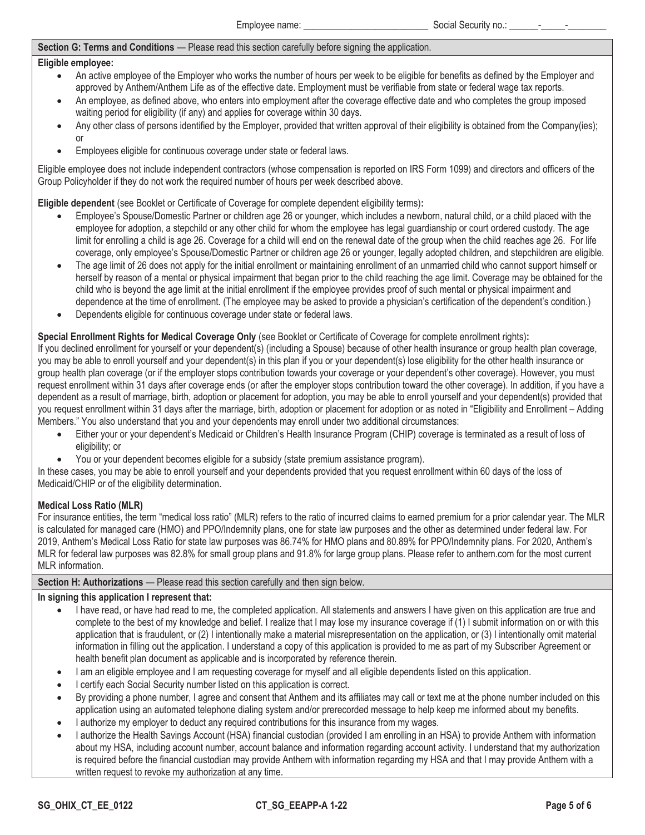## **Section G: Terms and Conditions** — Please read this section carefully before signing the application.

#### **Eligible employee:**

- An active employee of the Employer who works the number of hours per week to be eligible for benefits as defined by the Employer and approved by Anthem/Anthem Life as of the effective date. Employment must be verifiable from state or federal wage tax reports.
- An emplovee, as defined above, who enters into employment after the coverage effective date and who completes the group imposed waiting period for eligibility (if any) and applies for coverage within 30 days.
- Any other class of persons identified by the Employer, provided that written approval of their eligibility is obtained from the Company(ies); or
- Employees eligible for continuous coverage under state or federal laws.

Eligible employee does not include independent contractors (whose compensation is reported on IRS Form 1099) and directors and officers of the Group Policyholder if they do not work the required number of hours per week described above.

**Eligible dependent** (see Booklet or Certificate of Coverage for complete dependent eligibility terms)**:**

- Employee's Spouse/Domestic Partner or children age 26 or younger, which includes a newborn, natural child, or a child placed with the employee for adoption, a stepchild or any other child for whom the employee has legal guardianship or court ordered custody. The age limit for enrolling a child is age 26. Coverage for a child will end on the renewal date of the group when the child reaches age 26. For life coverage, only employee's Spouse/Domestic Partner or children age 26 or younger, legally adopted children, and stepchildren are eligible.
- The age limit of 26 does not apply for the initial enrollment or maintaining enrollment of an unmarried child who cannot support himself or herself by reason of a mental or physical impairment that began prior to the child reaching the age limit. Coverage may be obtained for the child who is beyond the age limit at the initial enrollment if the employee provides proof of such mental or physical impairment and dependence at the time of enrollment. (The employee may be asked to provide a physician's certification of the dependent's condition.)
- Dependents eligible for continuous coverage under state or federal laws.

## **Special Enrollment Rights for Medical Coverage Only** (see Booklet or Certificate of Coverage for complete enrollment rights)**:**

If you declined enrollment for yourself or your dependent(s) (including a Spouse) because of other health insurance or group health plan coverage, you may be able to enroll yourself and your dependent(s) in this plan if you or your dependent(s) lose eligibility for the other health insurance or group health plan coverage (or if the employer stops contribution towards your coverage or your dependent's other coverage). However, you must request enrollment within 31 days after coverage ends (or after the employer stops contribution toward the other coverage). In addition, if you have a dependent as a result of marriage, birth, adoption or placement for adoption, you may be able to enroll yourself and your dependent(s) provided that you request enrollment within 31 days after the marriage, birth, adoption or placement for adoption or as noted in "Eligibility and Enrollment – Adding Members." You also understand that you and your dependents may enroll under two additional circumstances:

- Either your or your dependent's Medicaid or Children's Health Insurance Program (CHIP) coverage is terminated as a result of loss of eligibility; or
- You or your dependent becomes eligible for a subsidy (state premium assistance program).

In these cases, you may be able to enroll yourself and your dependents provided that you request enrollment within 60 days of the loss of Medicaid/CHIP or of the eligibility determination.

### **Medical Loss Ratio (MLR)**

For insurance entities, the term "medical loss ratio" (MLR) refers to the ratio of incurred claims to earned premium for a prior calendar year. The MLR is calculated for managed care (HMO) and PPO/Indemnity plans, one for state law purposes and the other as determined under federal law. For 2019, Anthem's Medical Loss Ratio for state law purposes was 86.74% for HMO plans and 80.89% for PPO/Indemnity plans. For 2020, Anthem's MLR for federal law purposes was 82.8% for small group plans and 91.8% for large group plans. Please refer to anthem.com for the most current MLR information.

#### **Section H: Authorizations** — Please read this section carefully and then sign below.

### **In signing this application I represent that:**

- I have read, or have had read to me, the completed application. All statements and answers I have given on this application are true and complete to the best of my knowledge and belief. I realize that I may lose my insurance coverage if (1) I submit information on or with this application that is fraudulent, or (2) I intentionally make a material misrepresentation on the application, or (3) I intentionally omit material information in filling out the application. I understand a copy of this application is provided to me as part of my Subscriber Agreement or health benefit plan document as applicable and is incorporated by reference therein.
- I am an eligible employee and I am requesting coverage for myself and all eligible dependents listed on this application.
- I certify each Social Security number listed on this application is correct.
- By providing a phone number, I agree and consent that Anthem and its affiliates may call or text me at the phone number included on this application using an automated telephone dialing system and/or prerecorded message to help keep me informed about my benefits.
- I authorize my employer to deduct any required contributions for this insurance from my wages.
- I authorize the Health Savings Account (HSA) financial custodian (provided I am enrolling in an HSA) to provide Anthem with information about my HSA, including account number, account balance and information regarding account activity. I understand that my authorization is required before the financial custodian may provide Anthem with information regarding my HSA and that I may provide Anthem with a written request to revoke my authorization at any time.